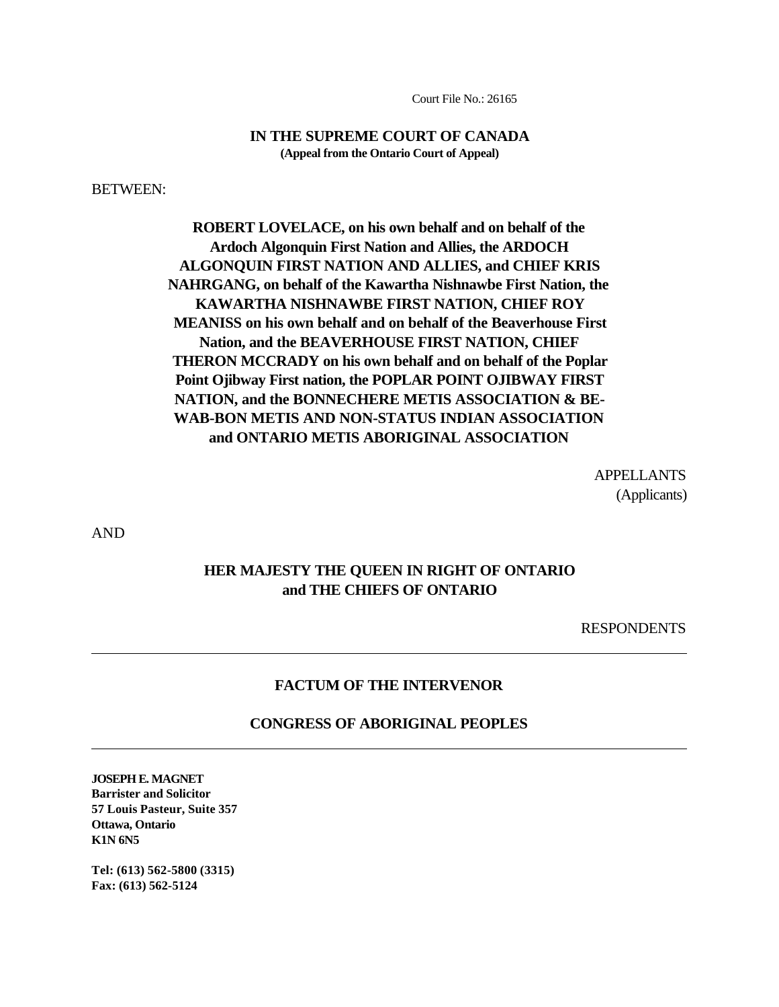Court File No.: 26165

### **IN THE SUPREME COURT OF CANADA (Appeal from the Ontario Court of Appeal)**

BETWEEN:

**ROBERT LOVELACE, on his own behalf and on behalf of the Ardoch Algonquin First Nation and Allies, the ARDOCH ALGONQUIN FIRST NATION AND ALLIES, and CHIEF KRIS NAHRGANG, on behalf of the Kawartha Nishnawbe First Nation, the KAWARTHA NISHNAWBE FIRST NATION, CHIEF ROY MEANISS on his own behalf and on behalf of the Beaverhouse First Nation, and the BEAVERHOUSE FIRST NATION, CHIEF THERON MCCRADY on his own behalf and on behalf of the Poplar Point Ojibway First nation, the POPLAR POINT OJIBWAY FIRST NATION, and the BONNECHERE METIS ASSOCIATION & BE-WAB-BON METIS AND NON-STATUS INDIAN ASSOCIATION and ONTARIO METIS ABORIGINAL ASSOCIATION**

> APPELLANTS (Applicants)

AND

 $\overline{a}$ 

 $\overline{a}$ 

## **HER MAJESTY THE QUEEN IN RIGHT OF ONTARIO and THE CHIEFS OF ONTARIO**

RESPONDENTS

### **FACTUM OF THE INTERVENOR**

#### **CONGRESS OF ABORIGINAL PEOPLES**

**JOSEPH E. MAGNET Barrister and Solicitor 57 Louis Pasteur, Suite 357 Ottawa, Ontario K1N 6N5**

**Tel: (613) 562-5800 (3315) Fax: (613) 562-5124**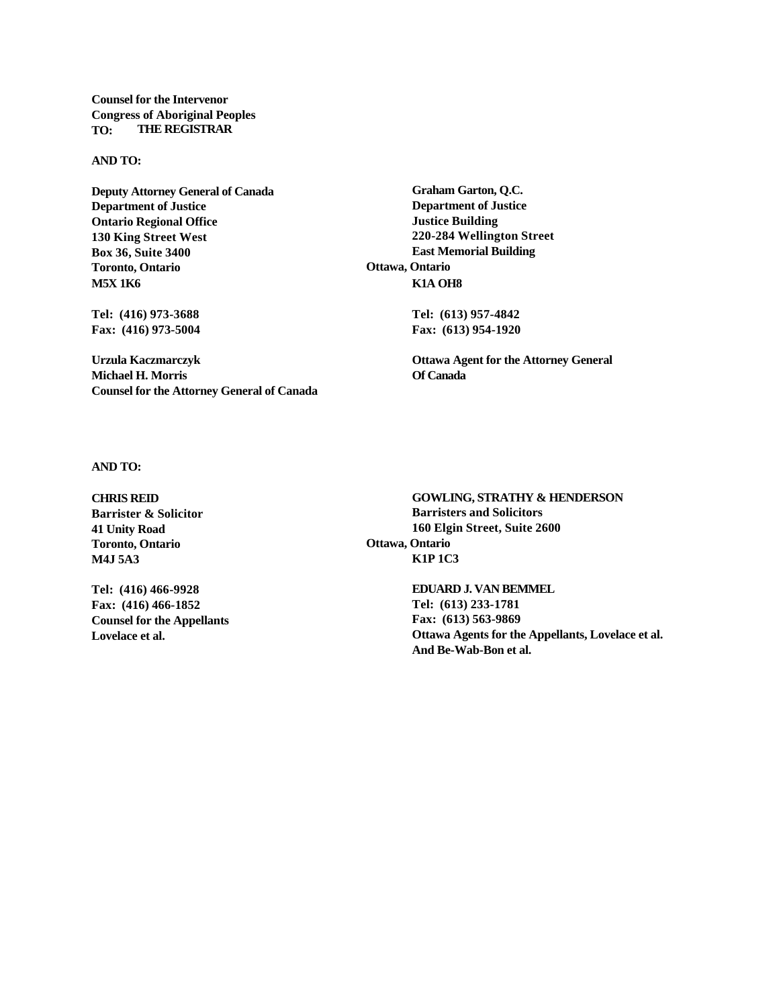**Counsel for the Intervenor Congress of Aboriginal Peoples TO: THE REGISTRAR**

#### **AND TO:**

**Deputy Attorney General of Canada Graham Garton, Q.C. Department of Justice Department of Justice Ontario Regional Office Justice Building 130 King Street West 220-284 Wellington Street Box 36, Suite 3400 East Memorial Building Toronto, Ontario Ottawa, Ontario M5X 1K6 K1A OH8**

**Fax: (416) 973-5004 Fax: (613) 954-1920**

**Michael H. Morris Of Canada Counsel for the Attorney General of Canada**

**Tel: (416) 973-3688 Tel: (613) 957-4842**

**Urzula Kaczmarczyk Ottawa Agent for the Attorney General**

**AND TO:**

**Toronto, Ontario Ottawa, Ontario M4J 5A3 K1P 1C3**

**Fax: (416) 466-1852 Tel: (613) 233-1781 Counsel for the Appellants Fax: (613) 563-9869**

**CHRIS REID GOWLING, STRATHY & HENDERSON Barrister & Solicitor Barristers and Solicitors 41 Unity Road 160 Elgin Street, Suite 2600**

**Tel: (416) 466-9928 EDUARD J. VAN BEMMEL Lovelace et al. Ottawa Agents for the Appellants, Lovelace et al. And Be-Wab-Bon et al.**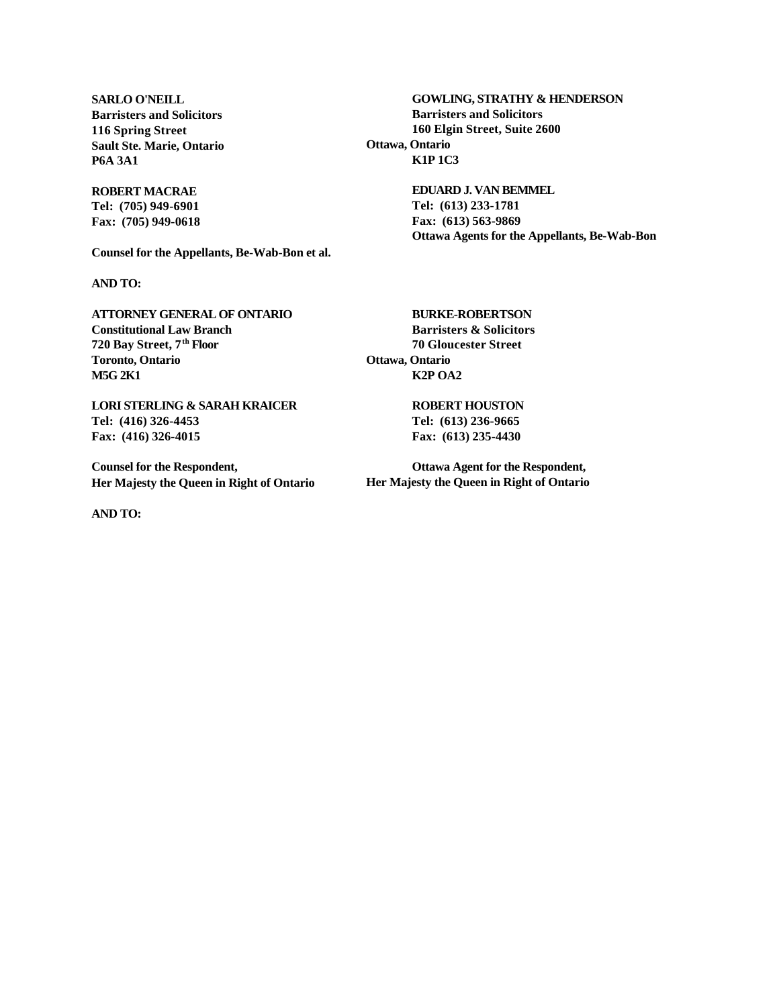**Sault Ste. Marie, Ontario Ottawa, Ontario P6A 3A1 K1P 1C3**

**Tel: (705) 949-6901 Tel: (613) 233-1781 Fax: (705) 949-0618 Fax: (613) 563-9869**

**Counsel for the Appellants, Be-Wab-Bon et al.**

**AND TO:**

**ATTORNEY GENERAL OF ONTARIO BURKE-ROBERTSON Constitutional Law Branch Barristers & Solicitors 720 Bay Street, 7th Floor 70 Gloucester Street Toronto, Ontario Ottawa, Ontario M5G 2K1 K2P OA2**

**LORI STERLING & SARAH KRAICER ROBERT HOUSTON Tel: (416) 326-4453 Tel: (613) 236-9665 Fax: (416) 326-4015 Fax: (613) 235-4430**

**Counsel for the Respondent, Ottawa Agent for the Respondent, Her Majesty the Queen in Right of Ontario Her Majesty the Queen in Right of Ontario**

**AND TO:**

**SARLO O'NEILL GOWLING, STRATHY & HENDERSON Barristers and Solicitors Barristers and Solicitors 116 Spring Street 160 Elgin Street, Suite 2600**

**ROBERT MACRAE EDUARD J. VAN BEMMEL Ottawa Agents for the Appellants, Be-Wab-Bon**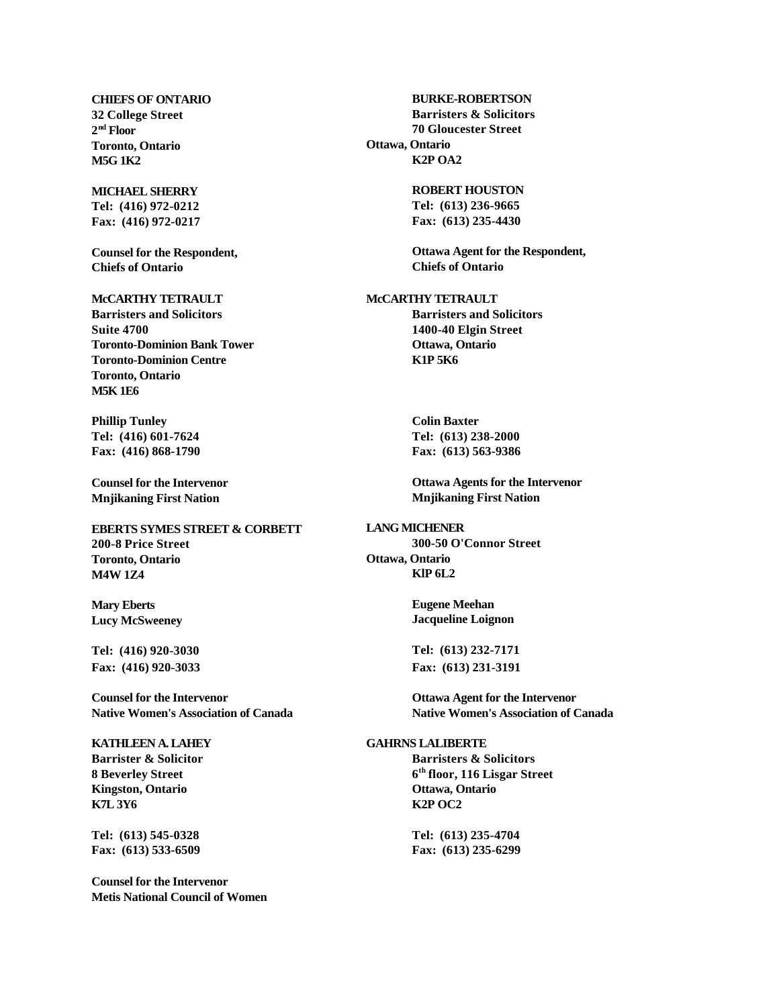2<sup>nd</sup> Floor **Toronto, Ontario Ottawa, Ontario M5G 1K2 K2P OA2**

**Tel: (416) 972-0212 Tel: (613) 236-9665 Fax: (416) 972-0217 Fax: (613) 235-4430**

**Chiefs of Ontario Chiefs of Ontario**

#### **McCARTHY TETRAULT McCARTHY TETRAULT Barristers and Solicitors Barristers and Solicitors Suite 4700 1400-40 Elgin Street Toronto-Dominion Bank Tower Ottawa, Ontario Toronto-Dominion Centre K1P 5K6 Toronto, Ontario M5K 1E6**

**Phillip Tunley Colin Baxter Tel: (416) 601-7624 Tel: (613) 238-2000 Fax: (416) 868-1790 Fax: (613) 563-9386**

**Mnjikaning First Nation Mnjikaning First Nation**

**EBERTS SYMES STREET & CORBETT LANG MICHENER 200-8 Price Street 300-50 O'Connor Street Toronto, Ontario Ottawa, Ontario M4W 1Z4 KlP 6L2**

**Mary Eberts Eugene Meehan**

**Tel: (416) 920-3030 Tel: (613) 232-7171 Fax: (416) 920-3033 Fax: (613) 231-3191**

**Counsel for the Intervenor Ottawa Agent for the Intervenor**

# **8 Beverley Street 6 Kingston, Ontario Ottawa, Ontario K7L 3Y6 K2P OC2**

**Tel: (613) 545-0328 Tel: (613) 235-4704 Fax: (613) 533-6509 Fax: (613) 235-6299**

**Counsel for the Intervenor Metis National Council of Women**

**CHIEFS OF ONTARIO BURKE-ROBERTSON 32 College Street Barristers & Solicitors nd Floor 70 Gloucester Street**

**MICHAEL SHERRY ROBERT HOUSTON**

**Counsel for the Respondent, Ottawa Agent for the Respondent,**

**Counsel for the Intervenor Ottawa Agents for the Intervenor**

**Lucy McSweeney Jacqueline Loignon**

**Native Women's Association of Canada Native Women's Association of Canada**

#### **KATHLEEN A. LAHEY GAHRNS LALIBERTE**

**Barrister & Solicitor Barristers & Solicitors th floor, 116 Lisgar Street**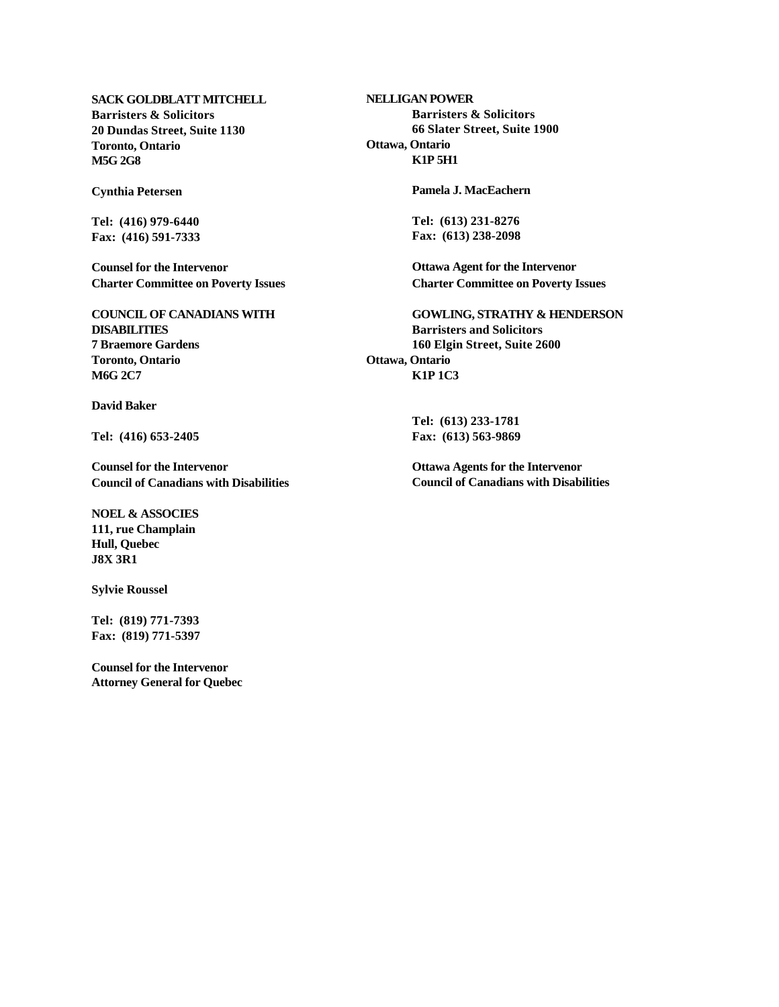**SACK GOLDBLATT MITCHELL NELLIGAN POWER Barristers & Solicitors Barristers & Solicitors Toronto, Ontario Ottawa, Ontario M5G 2G8 K1P 5H1**

**Fax: (416) 591-7333 Fax: (613) 238-2098**

**Counsel for the Intervenor Ottawa Agent for the Intervenor Charter Committee on Poverty Issues Charter Committee on Poverty Issues**

**DISABILITIES Barristers and Solicitors 7 Braemore Gardens 160 Elgin Street, Suite 2600 Toronto, Ontario Ottawa, Ontario M6G 2C7 K1P 1C3**

**David Baker**

**Counsel for the Intervenor Ottawa Agents for the Intervenor Council of Canadians with Disabilities Council of Canadians with Disabilities**

**NOEL & ASSOCIES 111, rue Champlain Hull, Quebec J8X 3R1**

**Sylvie Roussel**

**Tel: (819) 771-7393 Fax: (819) 771-5397**

**Counsel for the Intervenor Attorney General for Quebec**

**20 Dundas Street, Suite 1130 66 Slater Street, Suite 1900**

**Cynthia Petersen Pamela J. MacEachern**

**Tel: (416) 979-6440 Tel: (613) 231-8276**

**COUNCIL OF CANADIANS WITH GOWLING, STRATHY & HENDERSON**

**Tel: (613) 233-1781 Tel: (416) 653-2405 Fax: (613) 563-9869**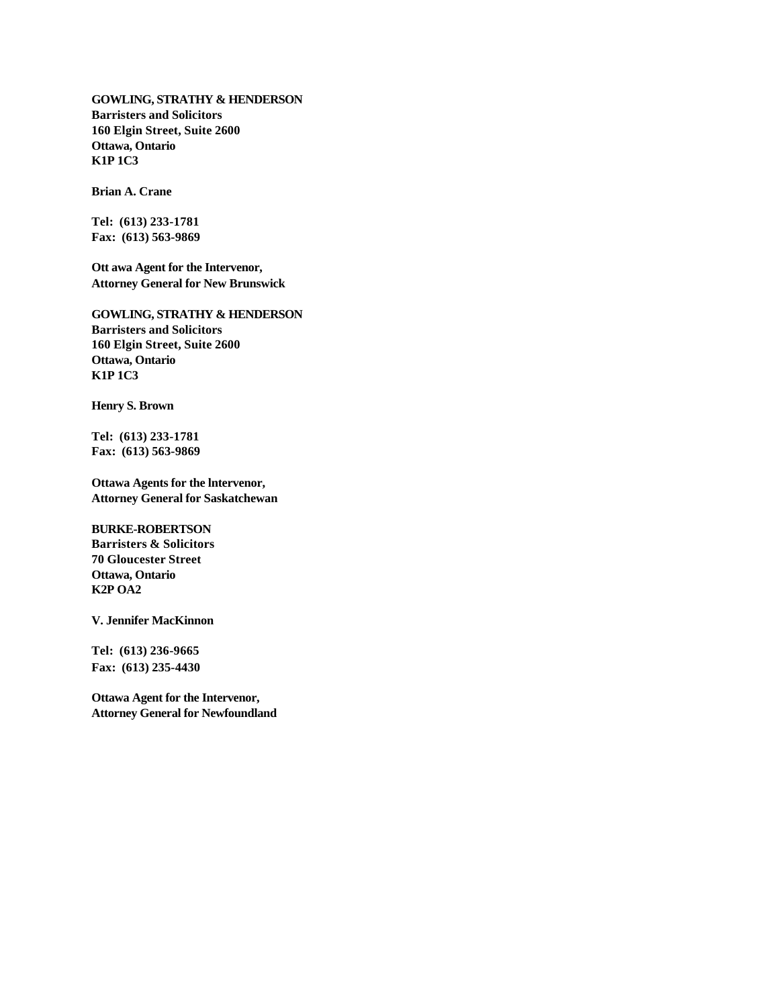**GOWLING, STRATHY & HENDERSON Barristers and Solicitors 160 Elgin Street, Suite 2600 Ottawa, Ontario K1P 1C3**

**Brian A. Crane**

**Tel: (613) 233-1781 Fax: (613) 563-9869**

**Ott awa Agent for the Intervenor, Attorney General for New Brunswick**

**GOWLING, STRATHY & HENDERSON Barristers and Solicitors 160 Elgin Street, Suite 2600 Ottawa, Ontario K1P 1C3**

**Henry S. Brown**

**Tel: (613) 233-1781 Fax: (613) 563-9869**

**Ottawa Agents for the lntervenor, Attorney General for Saskatchewan**

#### **BURKE-ROBERTSON**

**Barristers & Solicitors 70 Gloucester Street Ottawa, Ontario K2P OA2**

**V. Jennifer MacKinnon**

**Tel: (613) 236-9665 Fax: (613) 235-4430**

**Ottawa Agent for the Intervenor, Attorney General for Newfoundland**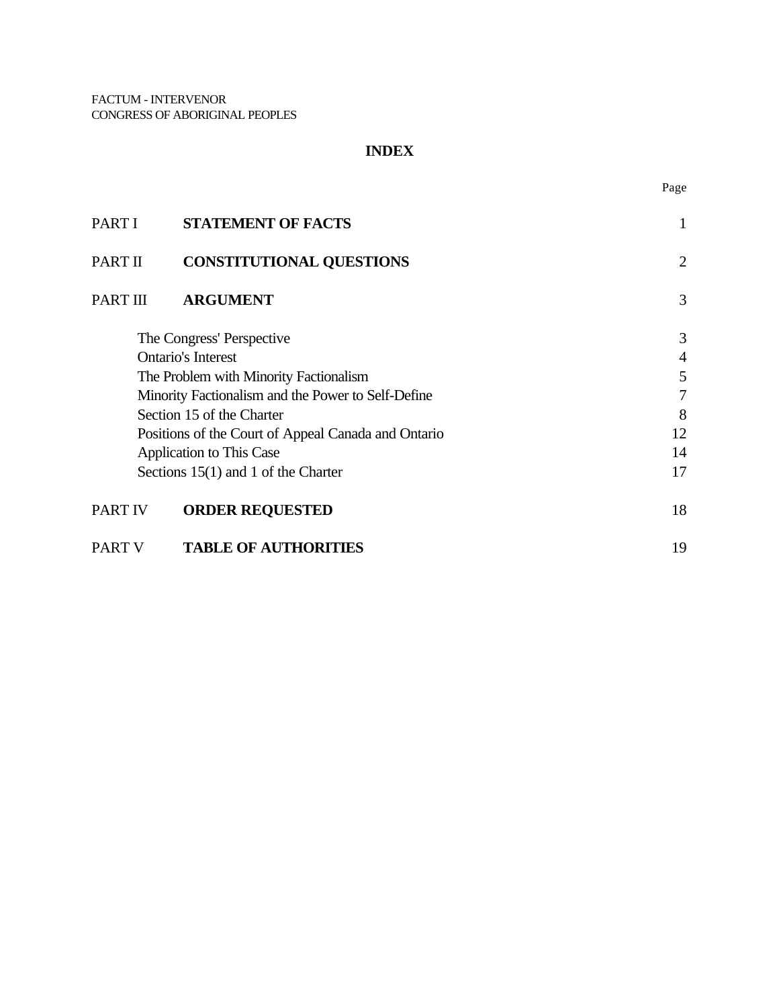## **INDEX**

Page

| PART I                                              | <b>STATEMENT OF FACTS</b>             | 1              |
|-----------------------------------------------------|---------------------------------------|----------------|
| PART II                                             | <b>CONSTITUTIONAL QUESTIONS</b>       | 2              |
| PART III                                            | <b>ARGUMENT</b>                       | 3              |
| The Congress' Perspective                           |                                       | 3              |
| <b>Ontario's Interest</b>                           |                                       | $\overline{4}$ |
| The Problem with Minority Factionalism              |                                       | 5              |
| Minority Factionalism and the Power to Self-Define  |                                       | 7              |
| Section 15 of the Charter                           |                                       | 8              |
| Positions of the Court of Appeal Canada and Ontario |                                       | 12             |
| Application to This Case                            |                                       | 14             |
|                                                     | Sections $15(1)$ and 1 of the Charter | 17             |
| <b>PART IV</b>                                      | <b>ORDER REQUESTED</b>                | 18             |
| <b>PART V</b>                                       | <b>TABLE OF AUTHORITIES</b>           | 19             |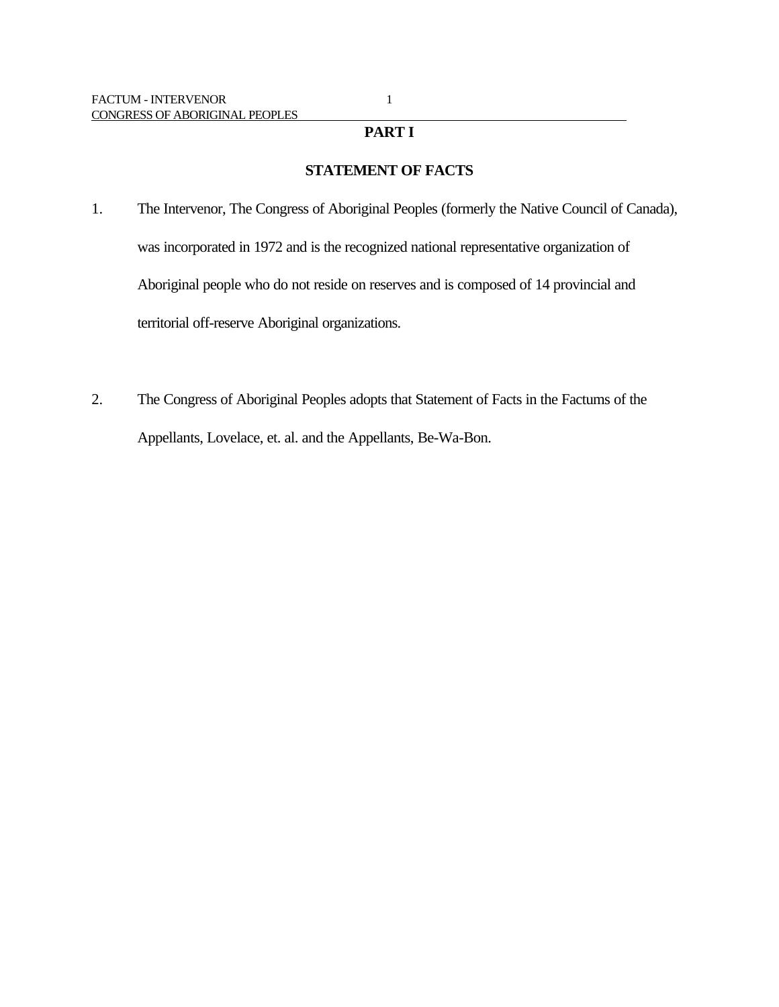## **PART I**

## **STATEMENT OF FACTS**

- 1. The Intervenor, The Congress of Aboriginal Peoples (formerly the Native Council of Canada), was incorporated in 1972 and is the recognized national representative organization of Aboriginal people who do not reside on reserves and is composed of 14 provincial and territorial off-reserve Aboriginal organizations.
- 2. The Congress of Aboriginal Peoples adopts that Statement of Facts in the Factums of the Appellants, Lovelace, et. al. and the Appellants, Be-Wa-Bon.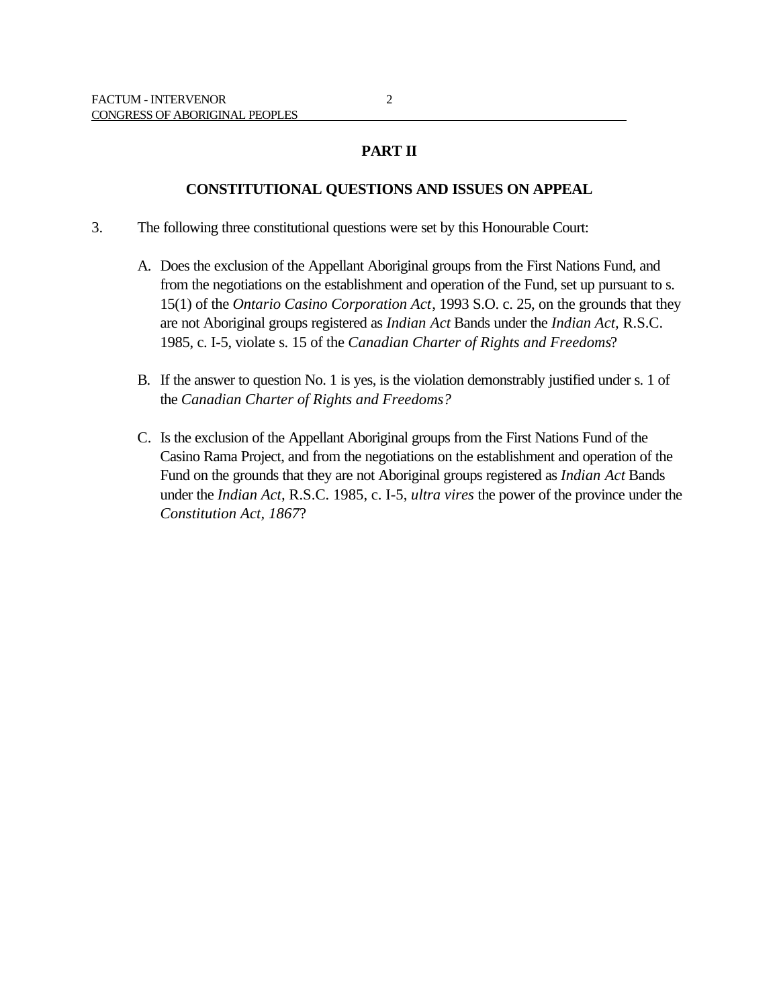## **PART II**

### **CONSTITUTIONAL QUESTIONS AND ISSUES ON APPEAL**

- 3. The following three constitutional questions were set by this Honourable Court:
	- A. Does the exclusion of the Appellant Aboriginal groups from the First Nations Fund, and from the negotiations on the establishment and operation of the Fund, set up pursuant to s. 15(1) of the *Ontario Casino Corporation Act*, 1993 S.O. c. 25, on the grounds that they are not Aboriginal groups registered as *Indian Act* Bands under the *Indian Act,* R.S.C. 1985, c. I-5, violate s. 15 of the *Canadian Charter of Rights and Freedoms*?
	- B. If the answer to question No. 1 is yes, is the violation demonstrably justified under s. 1 of the *Canadian Charter of Rights and Freedoms?*
	- C. Is the exclusion of the Appellant Aboriginal groups from the First Nations Fund of the Casino Rama Project, and from the negotiations on the establishment and operation of the Fund on the grounds that they are not Aboriginal groups registered as *Indian Act* Bands under the *Indian Act,* R.S.C. 1985, c. I-5, *ultra vires* the power of the province under the *Constitution Act, 1867*?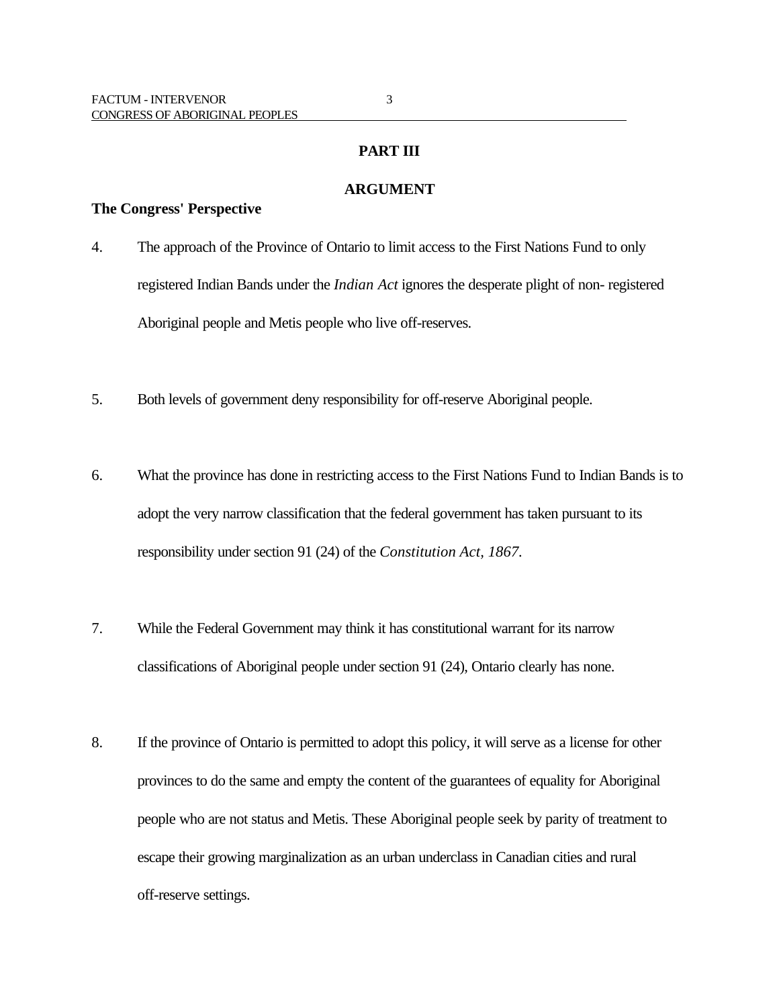### **ARGUMENT**

#### **The Congress' Perspective**

- 4. The approach of the Province of Ontario to limit access to the First Nations Fund to only registered Indian Bands under the *Indian Act* ignores the desperate plight of non- registered Aboriginal people and Metis people who live off-reserves.
- 5. Both levels of government deny responsibility for off-reserve Aboriginal people.
- 6. What the province has done in restricting access to the First Nations Fund to Indian Bands is to adopt the very narrow classification that the federal government has taken pursuant to its responsibility under section 91 (24) of the *Constitution Act, 1867.*
- 7. While the Federal Government may think it has constitutional warrant for its narrow classifications of Aboriginal people under section 91 (24), Ontario clearly has none.
- 8. If the province of Ontario is permitted to adopt this policy, it will serve as a license for other provinces to do the same and empty the content of the guarantees of equality for Aboriginal people who are not status and Metis. These Aboriginal people seek by parity of treatment to escape their growing marginalization as an urban underclass in Canadian cities and rural off-reserve settings.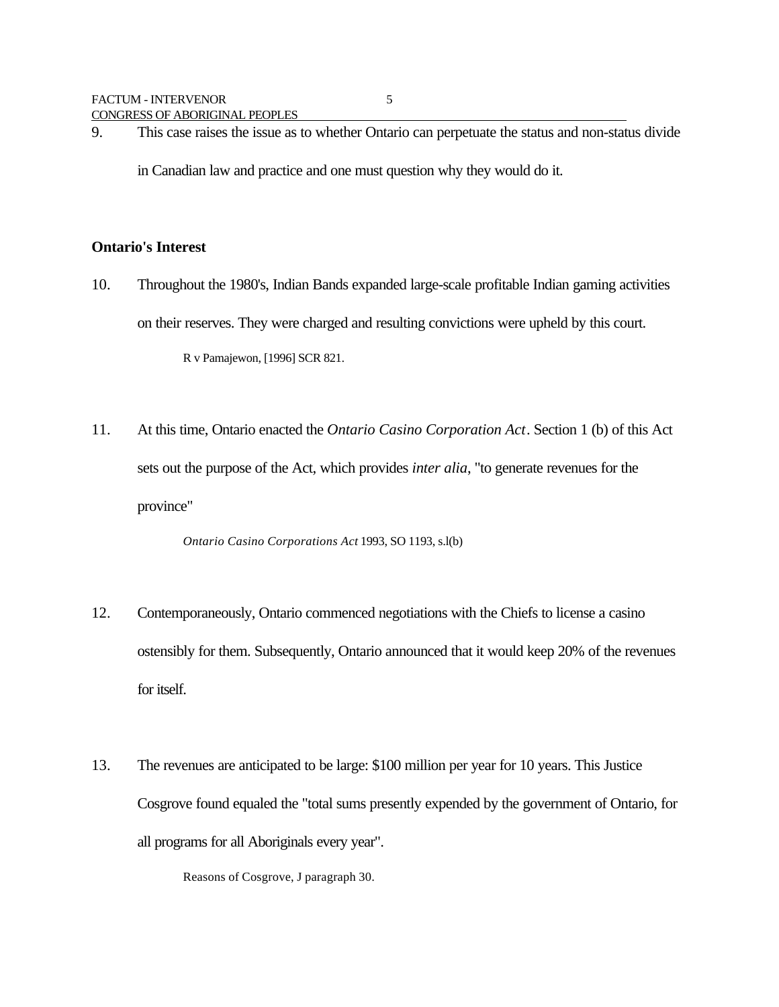9. This case raises the issue as to whether Ontario can perpetuate the status and non-status divide

in Canadian law and practice and one must question why they would do it.

### **Ontario's Interest**

10. Throughout the 1980's, Indian Bands expanded large-scale profitable Indian gaming activities on their reserves. They were charged and resulting convictions were upheld by this court.

R v Pamajewon, [1996] SCR 821.

11. At this time, Ontario enacted the *Ontario Casino Corporation Act*. Section 1 (b) of this Act sets out the purpose of the Act, which provides *inter alia*, "to generate revenues for the province"

*Ontario Casino Corporations Act* 1993, SO 1193, s.l(b)

- 12. Contemporaneously, Ontario commenced negotiations with the Chiefs to license a casino ostensibly for them. Subsequently, Ontario announced that it would keep 20% of the revenues for itself.
- 13. The revenues are anticipated to be large: \$100 million per year for 10 years. This Justice Cosgrove found equaled the "total sums presently expended by the government of Ontario, for all programs for all Aboriginals every year".

Reasons of Cosgrove, J paragraph 30.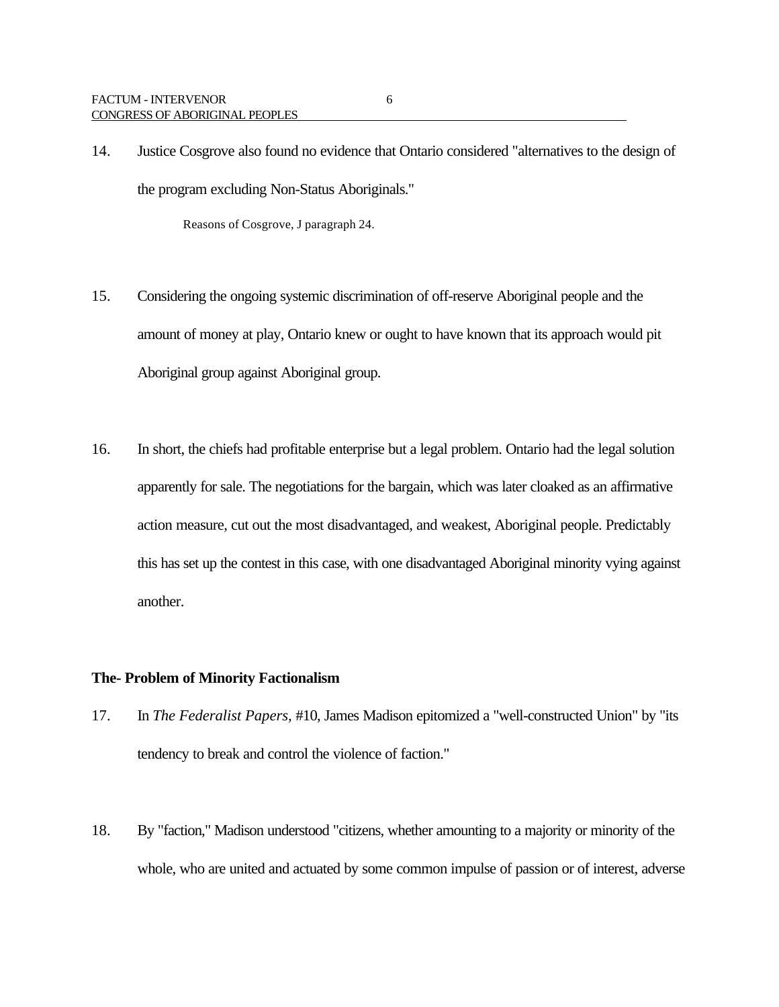14. Justice Cosgrove also found no evidence that Ontario considered "alternatives to the design of the program excluding Non-Status Aboriginals."

Reasons of Cosgrove, J paragraph 24.

- 15. Considering the ongoing systemic discrimination of off-reserve Aboriginal people and the amount of money at play, Ontario knew or ought to have known that its approach would pit Aboriginal group against Aboriginal group.
- 16. In short, the chiefs had profitable enterprise but a legal problem. Ontario had the legal solution apparently for sale. The negotiations for the bargain, which was later cloaked as an affirmative action measure, cut out the most disadvantaged, and weakest, Aboriginal people. Predictably this has set up the contest in this case, with one disadvantaged Aboriginal minority vying against another.

### **The- Problem of Minority Factionalism**

- 17. In *The Federalist Papers,* #10, James Madison epitomized a "well-constructed Union" by "its tendency to break and control the violence of faction."
- 18. By "faction," Madison understood "citizens, whether amounting to a majority or minority of the whole, who are united and actuated by some common impulse of passion or of interest, adverse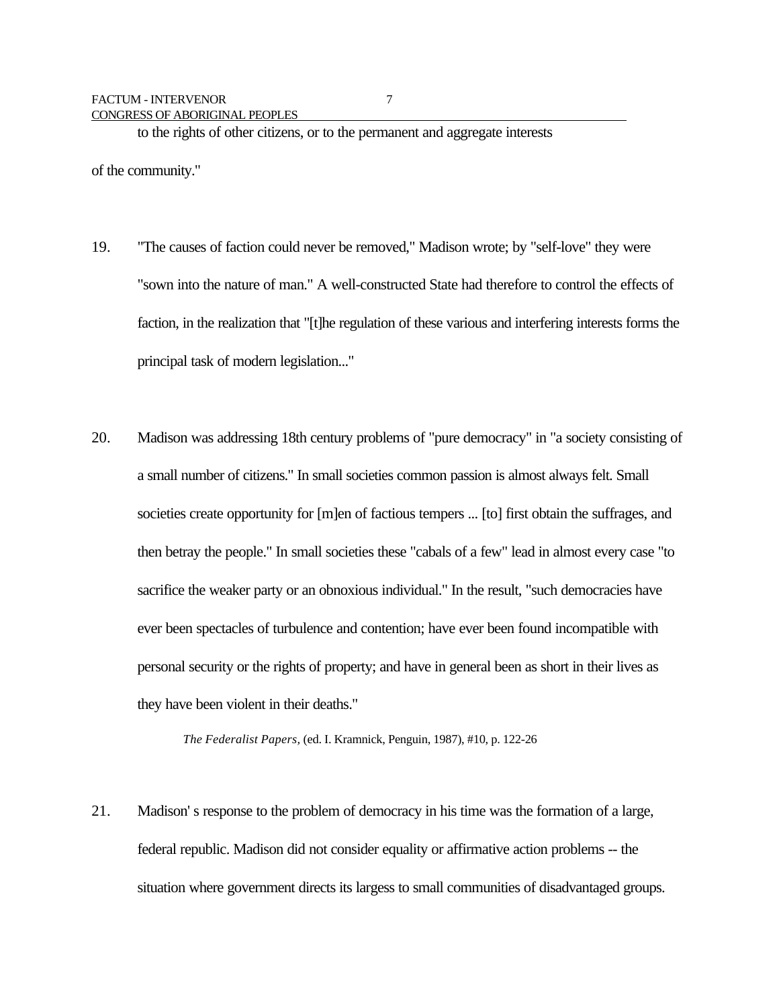to the rights of other citizens, or to the permanent and aggregate interests

of the community."

- 19. "The causes of faction could never be removed," Madison wrote; by "self-love" they were "sown into the nature of man." A well-constructed State had therefore to control the effects of faction, in the realization that "[t]he regulation of these various and interfering interests forms the principal task of modern legislation..."
- 20. Madison was addressing 18th century problems of "pure democracy" in "a society consisting of a small number of citizens." In small societies common passion is almost always felt. Small societies create opportunity for [m]en of factious tempers ... [to] first obtain the suffrages, and then betray the people." In small societies these "cabals of a few" lead in almost every case "to sacrifice the weaker party or an obnoxious individual." In the result, "such democracies have ever been spectacles of turbulence and contention; have ever been found incompatible with personal security or the rights of property; and have in general been as short in their lives as they have been violent in their deaths."

*The Federalist Papers,* (ed. I. Kramnick, Penguin, 1987), #10, p. 122-26

21. Madison' s response to the problem of democracy in his time was the formation of a large, federal republic. Madison did not consider equality or affirmative action problems -- the situation where government directs its largess to small communities of disadvantaged groups.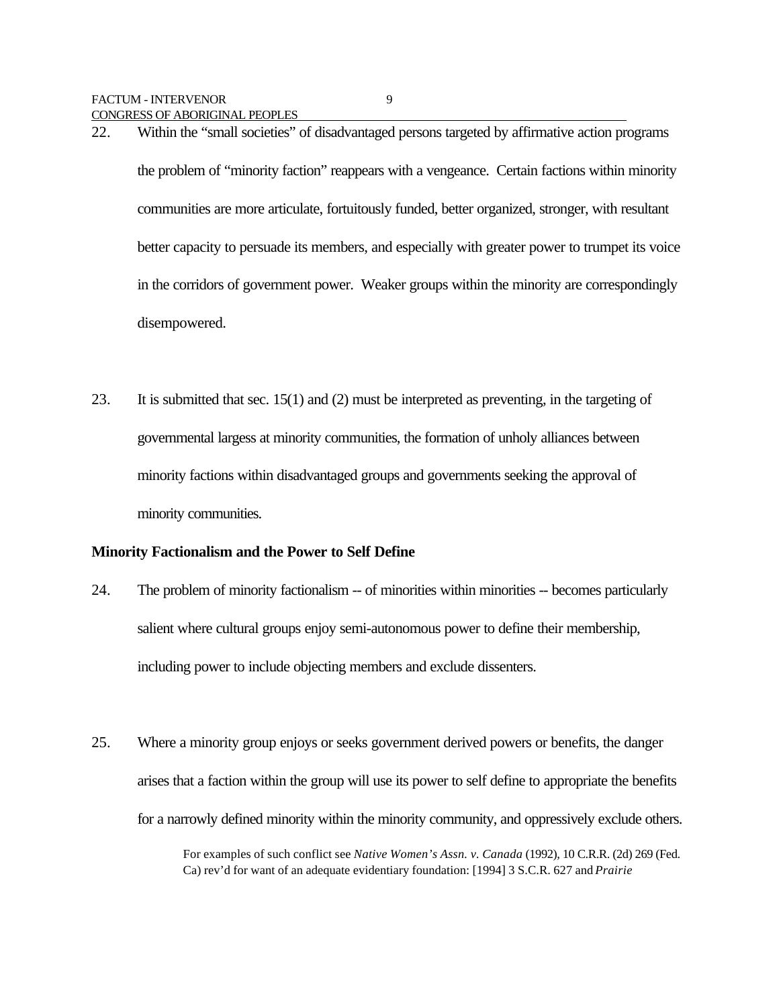22. Within the "small societies" of disadvantaged persons targeted by affirmative action programs the problem of "minority faction" reappears with a vengeance. Certain factions within minority communities are more articulate, fortuitously funded, better organized, stronger, with resultant better capacity to persuade its members, and especially with greater power to trumpet its voice in the corridors of government power. Weaker groups within the minority are correspondingly disempowered.

23. It is submitted that sec. 15(1) and (2) must be interpreted as preventing, in the targeting of governmental largess at minority communities, the formation of unholy alliances between minority factions within disadvantaged groups and governments seeking the approval of minority communities.

### **Minority Factionalism and the Power to Self Define**

- 24. The problem of minority factionalism -- of minorities within minorities -- becomes particularly salient where cultural groups enjoy semi-autonomous power to define their membership, including power to include objecting members and exclude dissenters.
- 25. Where a minority group enjoys or seeks government derived powers or benefits, the danger arises that a faction within the group will use its power to self define to appropriate the benefits for a narrowly defined minority within the minority community, and oppressively exclude others.

For examples of such conflict see *Native Women's Assn. v. Canada* (1992), 10 C.R.R. (2d) 269 (Fed. Ca) rev'd for want of an adequate evidentiary foundation: [1994] 3 S.C.R. 627 and *Prairie*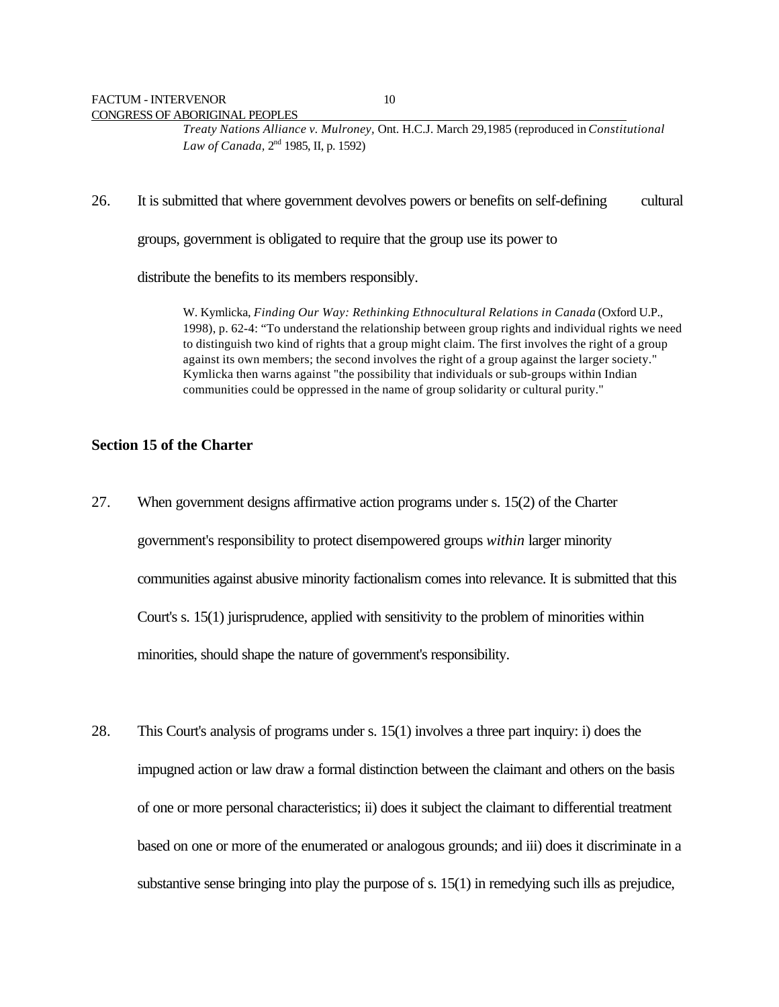*Treaty Nations Alliance v. Mulroney,* Ont. H.C.J. March 29,1985 (reproduced in *Constitutional* Law of Canada, 2<sup>nd</sup> 1985, II, p. 1592)

#### 26. It is submitted that where government devolves powers or benefits on self-defining cultural

groups, government is obligated to require that the group use its power to

distribute the benefits to its members responsibly.

W. Kymlicka, *Finding Our Way: Rethinking Ethnocultural Relations in Canada* (Oxford U.P., 1998), p. 62-4: "To understand the relationship between group rights and individual rights we need to distinguish two kind of rights that a group might claim. The first involves the right of a group against its own members; the second involves the right of a group against the larger society." Kymlicka then warns against "the possibility that individuals or sub-groups within Indian communities could be oppressed in the name of group solidarity or cultural purity."

#### **Section 15 of the Charter**

- 27. When government designs affirmative action programs under s. 15(2) of the Charter government's responsibility to protect disempowered groups *within* larger minority communities against abusive minority factionalism comes into relevance. It is submitted that this Court's s. 15(1) jurisprudence, applied with sensitivity to the problem of minorities within minorities, should shape the nature of government's responsibility.
- 28. This Court's analysis of programs under s. 15(1) involves a three part inquiry: i) does the impugned action or law draw a formal distinction between the claimant and others on the basis of one or more personal characteristics; ii) does it subject the claimant to differential treatment based on one or more of the enumerated or analogous grounds; and iii) does it discriminate in a substantive sense bringing into play the purpose of s.  $15(1)$  in remedying such ills as prejudice,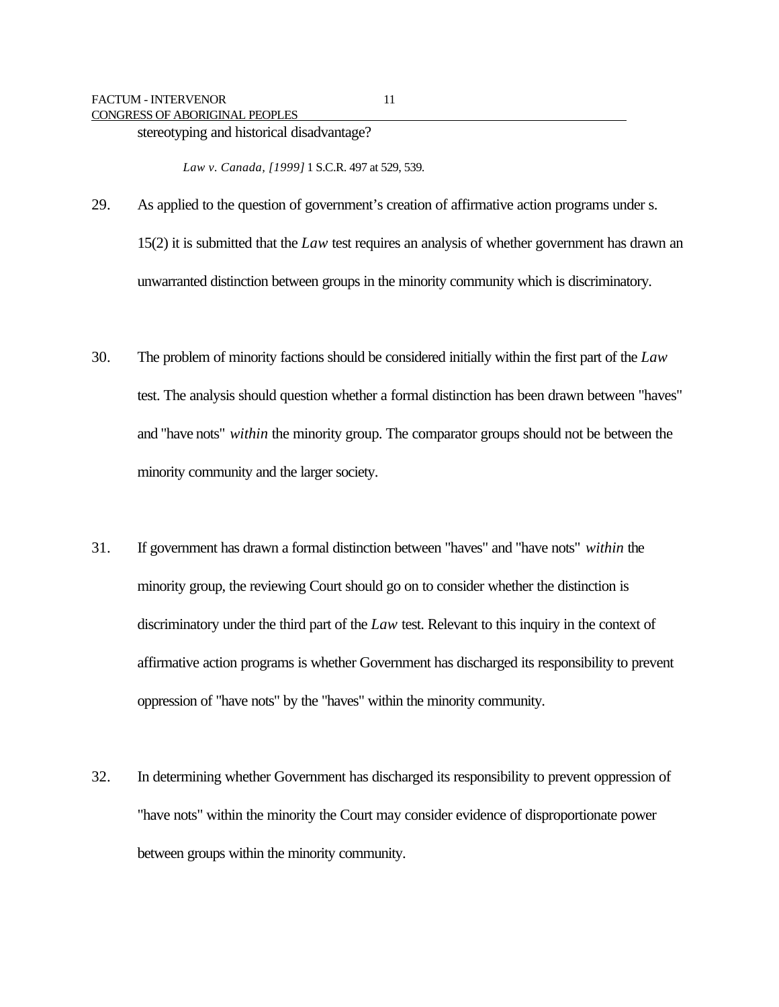stereotyping and historical disadvantage?

*Law v. Canada, [1999]* 1 S.C.R. 497 at 529, 539.

- 29. As applied to the question of government's creation of affirmative action programs under s. 15(2) it is submitted that the *Law* test requires an analysis of whether government has drawn an unwarranted distinction between groups in the minority community which is discriminatory.
- 30. The problem of minority factions should be considered initially within the first part of the *Law* test. The analysis should question whether a formal distinction has been drawn between "haves" and "have nots" *within* the minority group. The comparator groups should not be between the minority community and the larger society.
- 31. If government has drawn a formal distinction between "haves" and "have nots" *within* the minority group, the reviewing Court should go on to consider whether the distinction is discriminatory under the third part of the *Law* test. Relevant to this inquiry in the context of affirmative action programs is whether Government has discharged its responsibility to prevent oppression of "have nots" by the "haves" within the minority community.
- 32. In determining whether Government has discharged its responsibility to prevent oppression of "have nots" within the minority the Court may consider evidence of disproportionate power between groups within the minority community.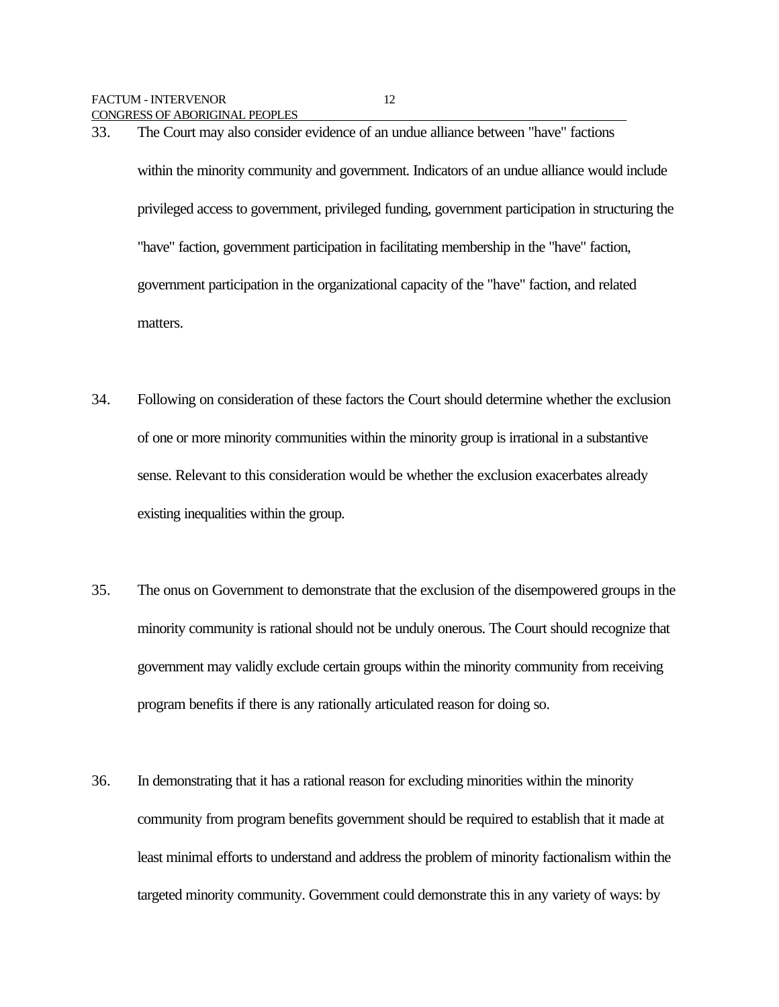33. The Court may also consider evidence of an undue alliance between "have" factions within the minority community and government. Indicators of an undue alliance would include privileged access to government, privileged funding, government participation in structuring the "have" faction, government participation in facilitating membership in the "have" faction, government participation in the organizational capacity of the "have" faction, and related matters.

- 34. Following on consideration of these factors the Court should determine whether the exclusion of one or more minority communities within the minority group is irrational in a substantive sense. Relevant to this consideration would be whether the exclusion exacerbates already existing inequalities within the group.
- 35. The onus on Government to demonstrate that the exclusion of the disempowered groups in the minority community is rational should not be unduly onerous. The Court should recognize that government may validly exclude certain groups within the minority community from receiving program benefits if there is any rationally articulated reason for doing so.
- 36. In demonstrating that it has a rational reason for excluding minorities within the minority community from program benefits government should be required to establish that it made at least minimal efforts to understand and address the problem of minority factionalism within the targeted minority community. Government could demonstrate this in any variety of ways: by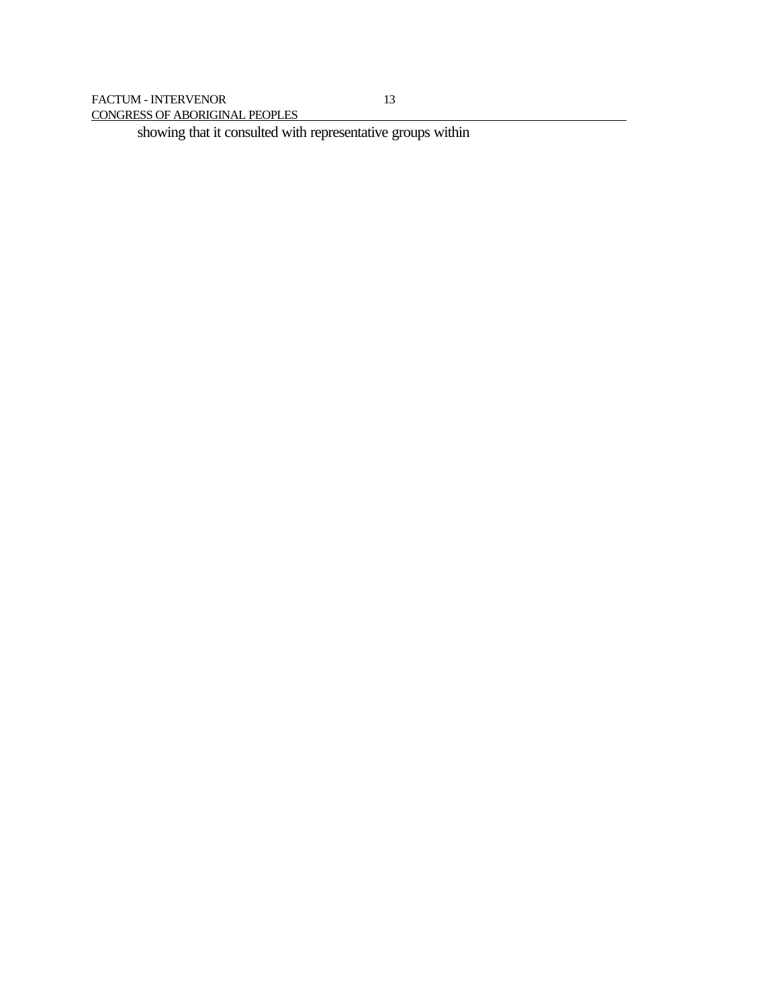showing that it consulted with representative groups within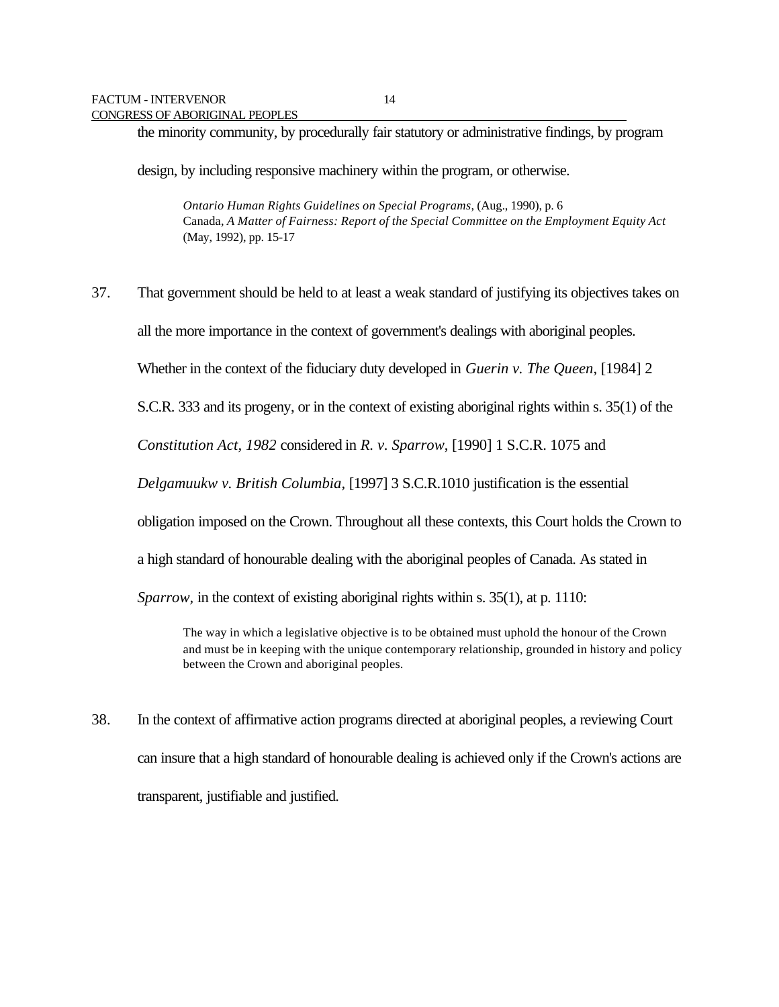the minority community, by procedurally fair statutory or administrative findings, by program

design, by including responsive machinery within the program, or otherwise.

*Ontario Human Rights Guidelines on Special Programs*, (Aug., 1990), p. 6 Canada, *A Matter of Fairness: Report of the Special Committee on the Employment Equity Act* (May, 1992), pp. 15-17

37. That government should be held to at least a weak standard of justifying its objectives takes on all the more importance in the context of government's dealings with aboriginal peoples. Whether in the context of the fiduciary duty developed in *Guerin v. The Queen*, [1984] 2 S.C.R. 333 and its progeny, or in the context of existing aboriginal rights within s. 35(1) of the *Constitution Act, 1982* considered in *R. v. Sparrow*, [1990] 1 S.C.R. 1075 and *Delgamuukw v. British Columbia,* [1997] 3 S.C.R.1010 justification is the essential obligation imposed on the Crown. Throughout all these contexts, this Court holds the Crown to a high standard of honourable dealing with the aboriginal peoples of Canada. As stated in *Sparrow,* in the context of existing aboriginal rights within s. 35(1), at p. 1110: The way in which a legislative objective is to be obtained must uphold the honour of the Crown

and must be in keeping with the unique contemporary relationship, grounded in history and policy between the Crown and aboriginal peoples.

38. In the context of affirmative action programs directed at aboriginal peoples, a reviewing Court can insure that a high standard of honourable dealing is achieved only if the Crown's actions are transparent, justifiable and justified.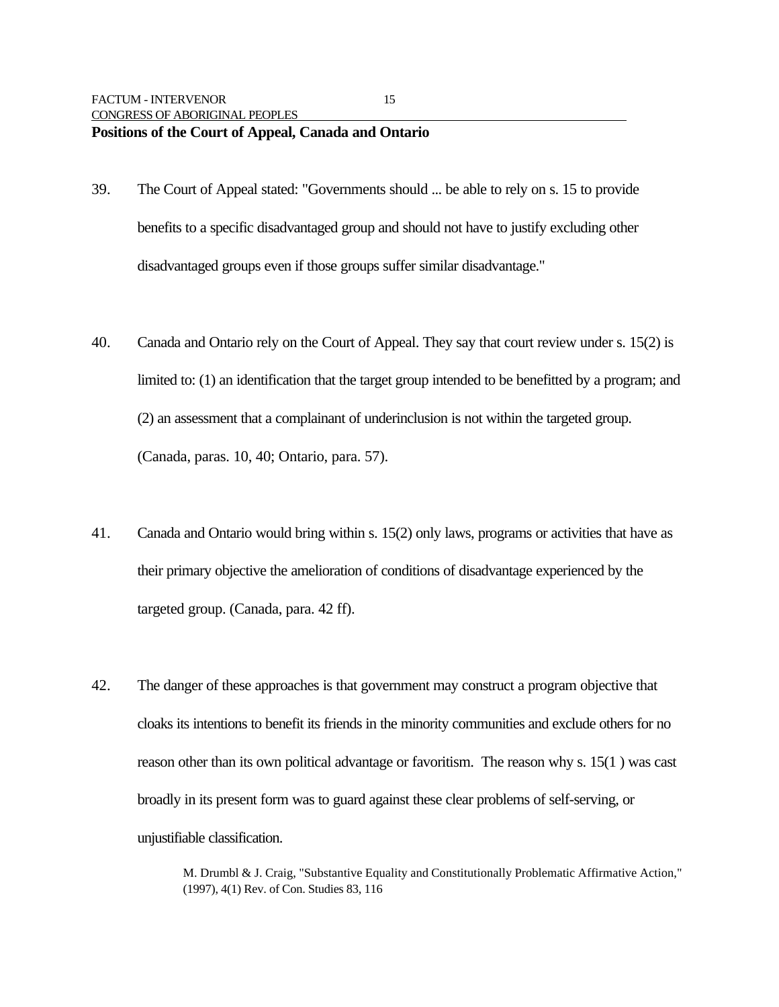- 39. The Court of Appeal stated: "Governments should ... be able to rely on s. 15 to provide benefits to a specific disadvantaged group and should not have to justify excluding other disadvantaged groups even if those groups suffer similar disadvantage."
- 40. Canada and Ontario rely on the Court of Appeal. They say that court review under s. 15(2) is limited to: (1) an identification that the target group intended to be benefitted by a program; and (2) an assessment that a complainant of underinclusion is not within the targeted group. (Canada, paras. 10, 40; Ontario, para. 57).
- 41. Canada and Ontario would bring within s. 15(2) only laws, programs or activities that have as their primary objective the amelioration of conditions of disadvantage experienced by the targeted group. (Canada, para. 42 ff).
- 42. The danger of these approaches is that government may construct a program objective that cloaks its intentions to benefit its friends in the minority communities and exclude others for no reason other than its own political advantage or favoritism. The reason why s. 15(1 ) was cast broadly in its present form was to guard against these clear problems of self-serving, or unjustifiable classification.

M. Drumbl & J. Craig, "Substantive Equality and Constitutionally Problematic Affirmative Action," (1997), 4(1) Rev. of Con. Studies 83, 116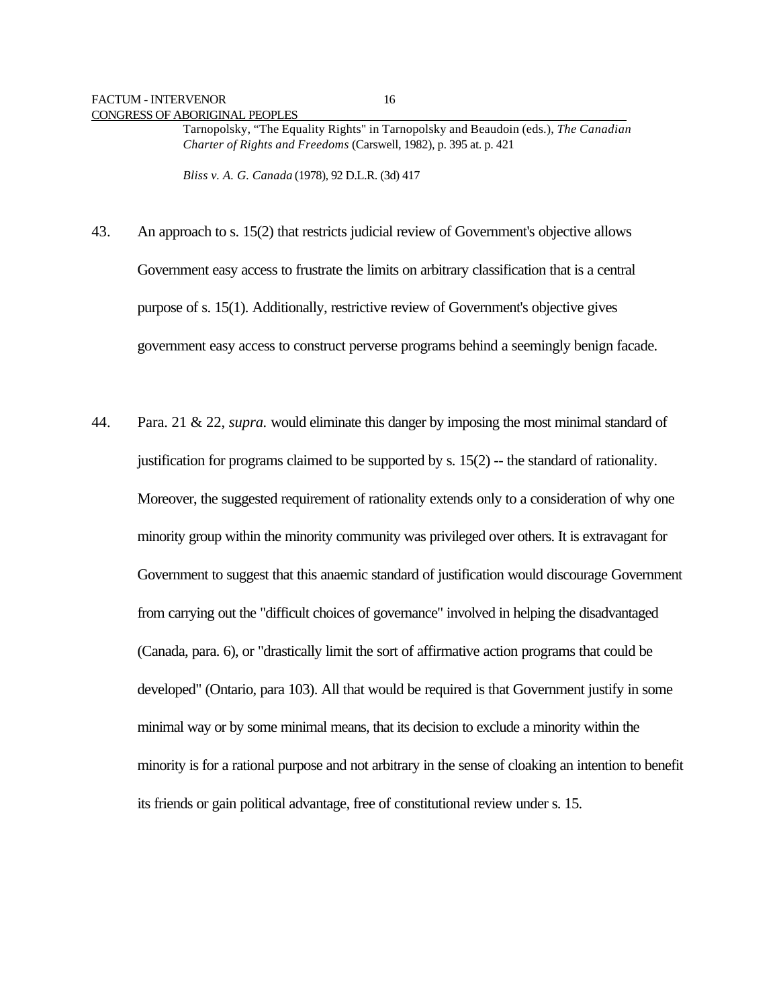Tarnopolsky, "The Equality Rights" in Tarnopolsky and Beaudoin (eds.), *The Canadian Charter of Rights and Freedoms* (Carswell, 1982), p. 395 at. p. 421

*Bliss v. A. G. Canada* (1978), 92 D.L.R. (3d) 417

- 43. An approach to s. 15(2) that restricts judicial review of Government's objective allows Government easy access to frustrate the limits on arbitrary classification that is a central purpose of s. 15(1). Additionally, restrictive review of Government's objective gives government easy access to construct perverse programs behind a seemingly benign facade.
- 44. Para. 21 & 22, *supra.* would eliminate this danger by imposing the most minimal standard of justification for programs claimed to be supported by  $s$ . 15(2) -- the standard of rationality. Moreover, the suggested requirement of rationality extends only to a consideration of why one minority group within the minority community was privileged over others. It is extravagant for Government to suggest that this anaemic standard of justification would discourage Government from carrying out the "difficult choices of governance" involved in helping the disadvantaged (Canada, para. 6), or "drastically limit the sort of affirmative action programs that could be developed" (Ontario, para 103). All that would be required is that Government justify in some minimal way or by some minimal means, that its decision to exclude a minority within the minority is for a rational purpose and not arbitrary in the sense of cloaking an intention to benefit its friends or gain political advantage, free of constitutional review under s. 15.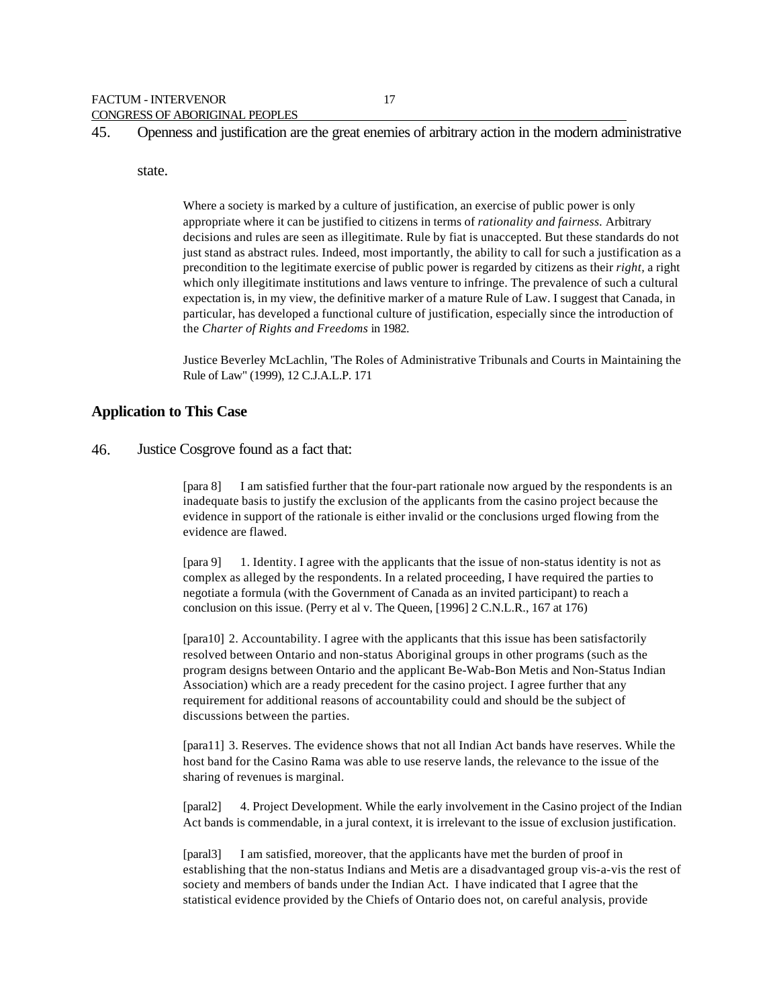45. Openness and justification are the great enemies of arbitrary action in the modern administrative

#### state.

Where a society is marked by a culture of justification, an exercise of public power is only appropriate where it can be justified to citizens in terms of *rationality and fairness.* Arbitrary decisions and rules are seen as illegitimate. Rule by fiat is unaccepted. But these standards do not just stand as abstract rules. Indeed, most importantly, the ability to call for such a justification as a precondition to the legitimate exercise of public power is regarded by citizens as their *right,* a right which only illegitimate institutions and laws venture to infringe. The prevalence of such a cultural expectation is, in my view, the definitive marker of a mature Rule of Law. I suggest that Canada, in particular, has developed a functional culture of justification, especially since the introduction of the *Charter of Rights and Freedoms* in 1982.

Justice Beverley McLachlin, 'The Roles of Administrative Tribunals and Courts in Maintaining the Rule of Law" (1999), 12 C.J.A.L.P. 171

#### **Application to This Case**

46. Justice Cosgrove found as a fact that:

[para 8] I am satisfied further that the four-part rationale now argued by the respondents is an inadequate basis to justify the exclusion of the applicants from the casino project because the evidence in support of the rationale is either invalid or the conclusions urged flowing from the evidence are flawed.

[para 9] 1. Identity. I agree with the applicants that the issue of non-status identity is not as complex as alleged by the respondents. In a related proceeding, I have required the parties to negotiate a formula (with the Government of Canada as an invited participant) to reach a conclusion on this issue. (Perry et al v. The Queen, [1996] 2 C.N.L.R., 167 at 176)

[para10] 2. Accountability. I agree with the applicants that this issue has been satisfactorily resolved between Ontario and non-status Aboriginal groups in other programs (such as the program designs between Ontario and the applicant Be-Wab-Bon Metis and Non-Status Indian Association) which are a ready precedent for the casino project. I agree further that any requirement for additional reasons of accountability could and should be the subject of discussions between the parties.

[para11] 3. Reserves. The evidence shows that not all Indian Act bands have reserves. While the host band for the Casino Rama was able to use reserve lands, the relevance to the issue of the sharing of revenues is marginal.

[paral2] 4. Project Development. While the early involvement in the Casino project of the Indian Act bands is commendable, in a jural context, it is irrelevant to the issue of exclusion justification.

[paral3] I am satisfied, moreover, that the applicants have met the burden of proof in establishing that the non-status Indians and Metis are a disadvantaged group vis-a-vis the rest of society and members of bands under the Indian Act. I have indicated that I agree that the statistical evidence provided by the Chiefs of Ontario does not, on careful analysis, provide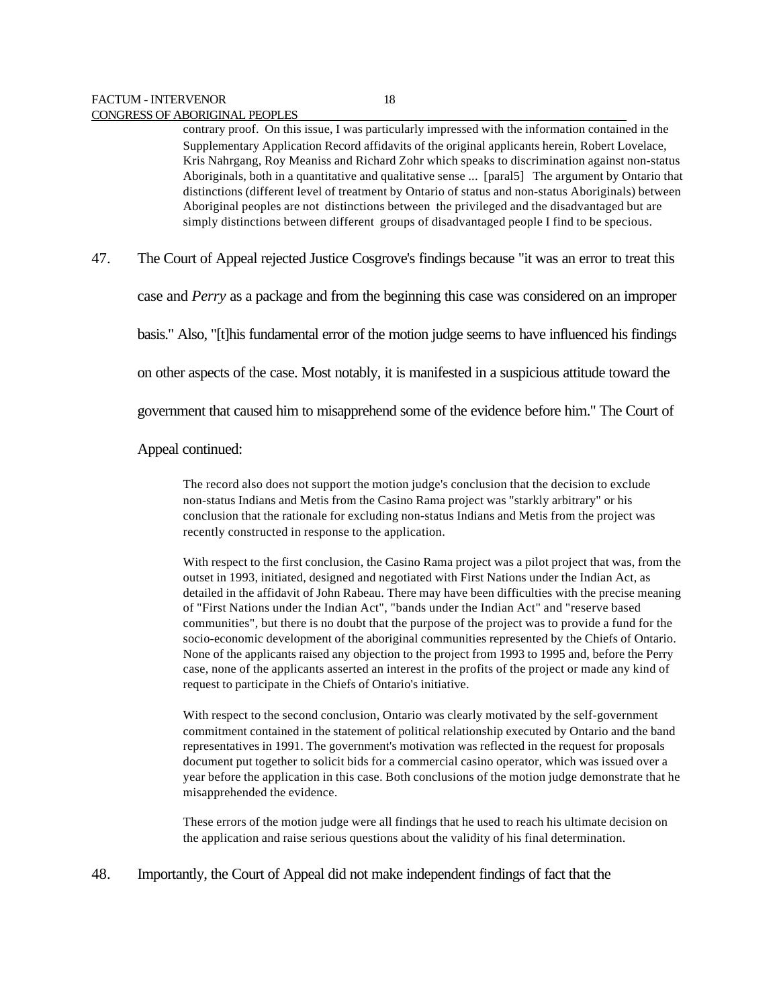contrary proof. On this issue, I was particularly impressed with the information contained in the Supplementary Application Record affidavits of the original applicants herein, Robert Lovelace, Kris Nahrgang, Roy Meaniss and Richard Zohr which speaks to discrimination against non-status Aboriginals, both in a quantitative and qualitative sense ... [paral5] The argument by Ontario that distinctions (different level of treatment by Ontario of status and non-status Aboriginals) between Aboriginal peoples are not distinctions between the privileged and the disadvantaged but are simply distinctions between different groups of disadvantaged people I find to be specious.

47. The Court of Appeal rejected Justice Cosgrove's findings because "it was an error to treat this

case and *Perry* as a package and from the beginning this case was considered on an improper

basis." Also, "[t]his fundamental error of the motion judge seems to have influenced his findings

on other aspects of the case. Most notably, it is manifested in a suspicious attitude toward the

government that caused him to misapprehend some of the evidence before him." The Court of

Appeal continued:

The record also does not support the motion judge's conclusion that the decision to exclude non-status Indians and Metis from the Casino Rama project was "starkly arbitrary" or his conclusion that the rationale for excluding non-status Indians and Metis from the project was recently constructed in response to the application.

With respect to the first conclusion, the Casino Rama project was a pilot project that was, from the outset in 1993, initiated, designed and negotiated with First Nations under the Indian Act, as detailed in the affidavit of John Rabeau. There may have been difficulties with the precise meaning of "First Nations under the Indian Act", "bands under the Indian Act" and "reserve based communities", but there is no doubt that the purpose of the project was to provide a fund for the socio-economic development of the aboriginal communities represented by the Chiefs of Ontario. None of the applicants raised any objection to the project from 1993 to 1995 and, before the Perry case, none of the applicants asserted an interest in the profits of the project or made any kind of request to participate in the Chiefs of Ontario's initiative.

With respect to the second conclusion, Ontario was clearly motivated by the self-government commitment contained in the statement of political relationship executed by Ontario and the band representatives in 1991. The government's motivation was reflected in the request for proposals document put together to solicit bids for a commercial casino operator, which was issued over a year before the application in this case. Both conclusions of the motion judge demonstrate that he misapprehended the evidence.

These errors of the motion judge were all findings that he used to reach his ultimate decision on the application and raise serious questions about the validity of his final determination.

48. Importantly, the Court of Appeal did not make independent findings of fact that the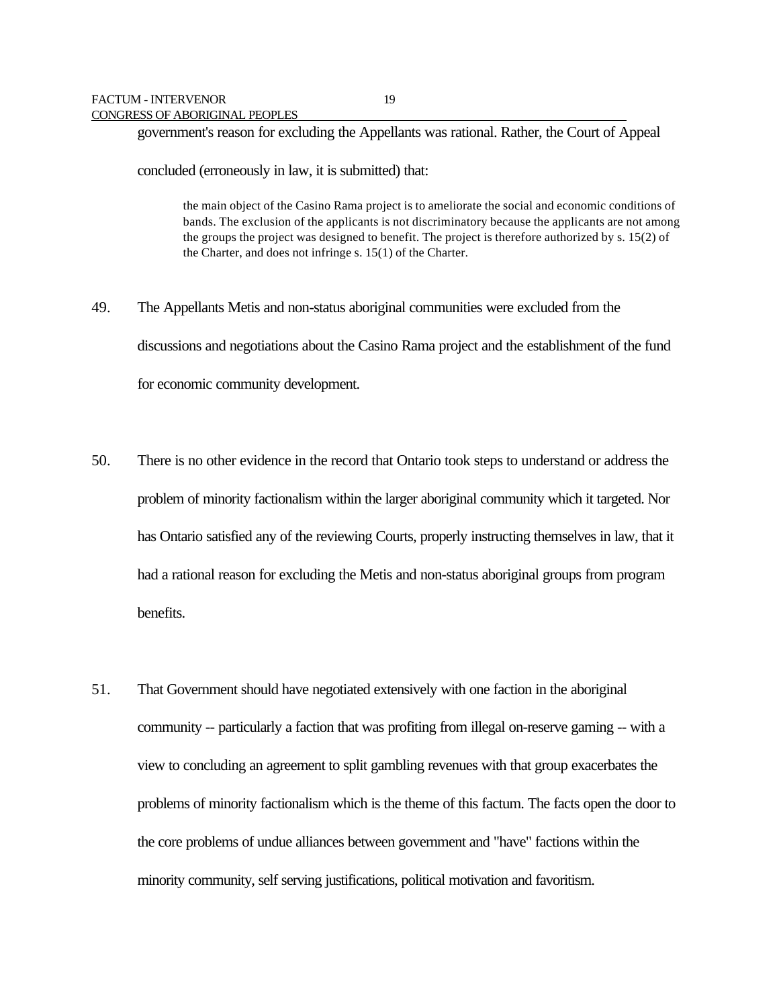government's reason for excluding the Appellants was rational. Rather, the Court of Appeal

concluded (erroneously in law, it is submitted) that:

the main object of the Casino Rama project is to ameliorate the social and economic conditions of bands. The exclusion of the applicants is not discriminatory because the applicants are not among the groups the project was designed to benefit. The project is therefore authorized by s. 15(2) of the Charter, and does not infringe s. 15(1) of the Charter.

- 49. The Appellants Metis and non-status aboriginal communities were excluded from the discussions and negotiations about the Casino Rama project and the establishment of the fund for economic community development.
- 50. There is no other evidence in the record that Ontario took steps to understand or address the problem of minority factionalism within the larger aboriginal community which it targeted. Nor has Ontario satisfied any of the reviewing Courts, properly instructing themselves in law, that it had a rational reason for excluding the Metis and non-status aboriginal groups from program benefits.
- 51. That Government should have negotiated extensively with one faction in the aboriginal community -- particularly a faction that was profiting from illegal on-reserve gaming -- with a view to concluding an agreement to split gambling revenues with that group exacerbates the problems of minority factionalism which is the theme of this factum. The facts open the door to the core problems of undue alliances between government and "have" factions within the minority community, self serving justifications, political motivation and favoritism.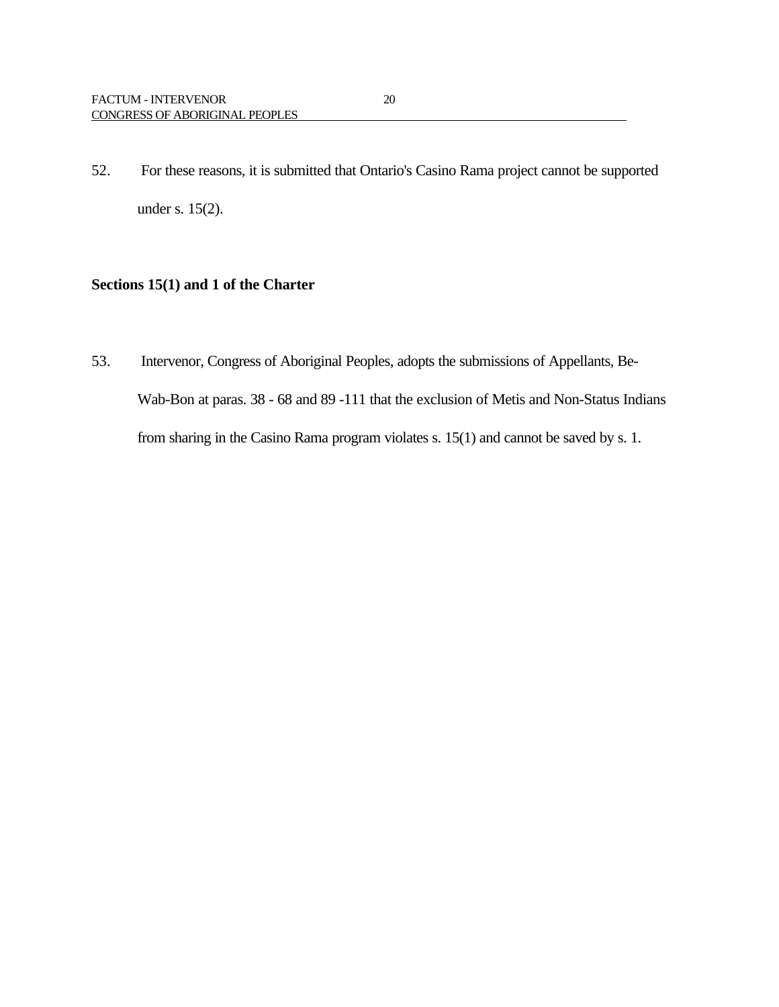52. For these reasons, it is submitted that Ontario's Casino Rama project cannot be supported under s. 15(2).

## **Sections 15(1) and 1 of the Charter**

53. Intervenor, Congress of Aboriginal Peoples, adopts the submissions of Appellants, Be-Wab-Bon at paras. 38 - 68 and 89 -111 that the exclusion of Metis and Non-Status Indians from sharing in the Casino Rama program violates s. 15(1) and cannot be saved by s. 1.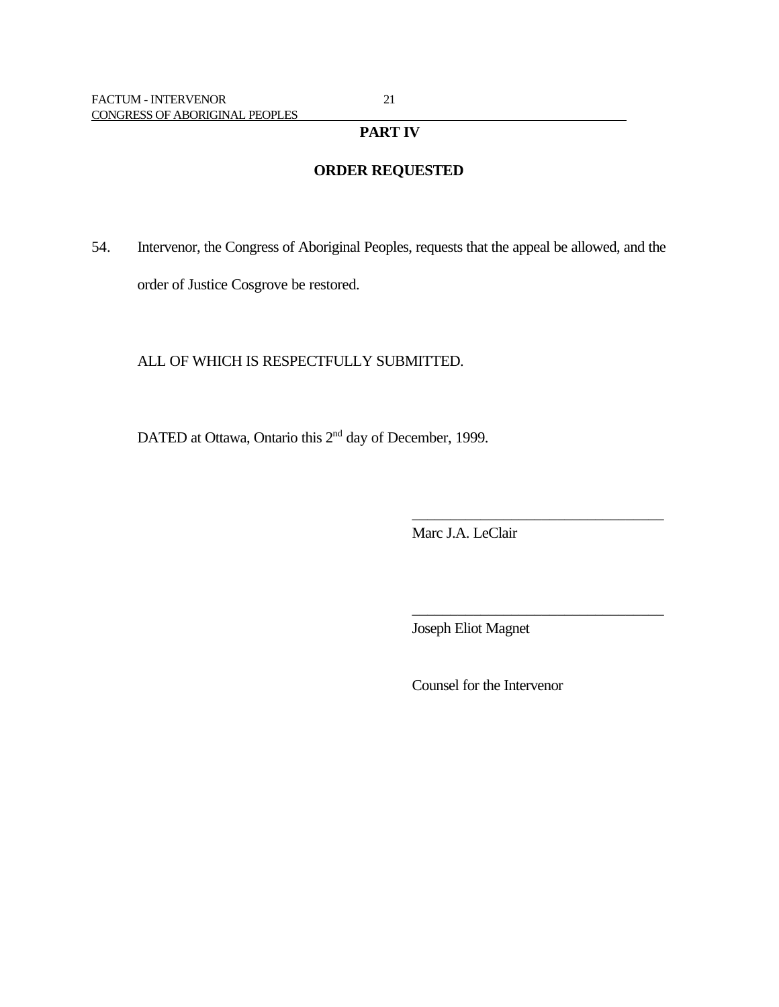### **PART IV**

## **ORDER REQUESTED**

54. Intervenor, the Congress of Aboriginal Peoples, requests that the appeal be allowed, and the order of Justice Cosgrove be restored.

### ALL OF WHICH IS RESPECTFULLY SUBMITTED.

DATED at Ottawa, Ontario this 2<sup>nd</sup> day of December, 1999.

Marc J.A. LeClair

\_\_\_\_\_\_\_\_\_\_\_\_\_\_\_\_\_\_\_\_\_\_\_\_\_\_\_\_\_\_\_\_\_

\_\_\_\_\_\_\_\_\_\_\_\_\_\_\_\_\_\_\_\_\_\_\_\_\_\_\_\_\_\_\_\_\_

Joseph Eliot Magnet

Counsel for the Intervenor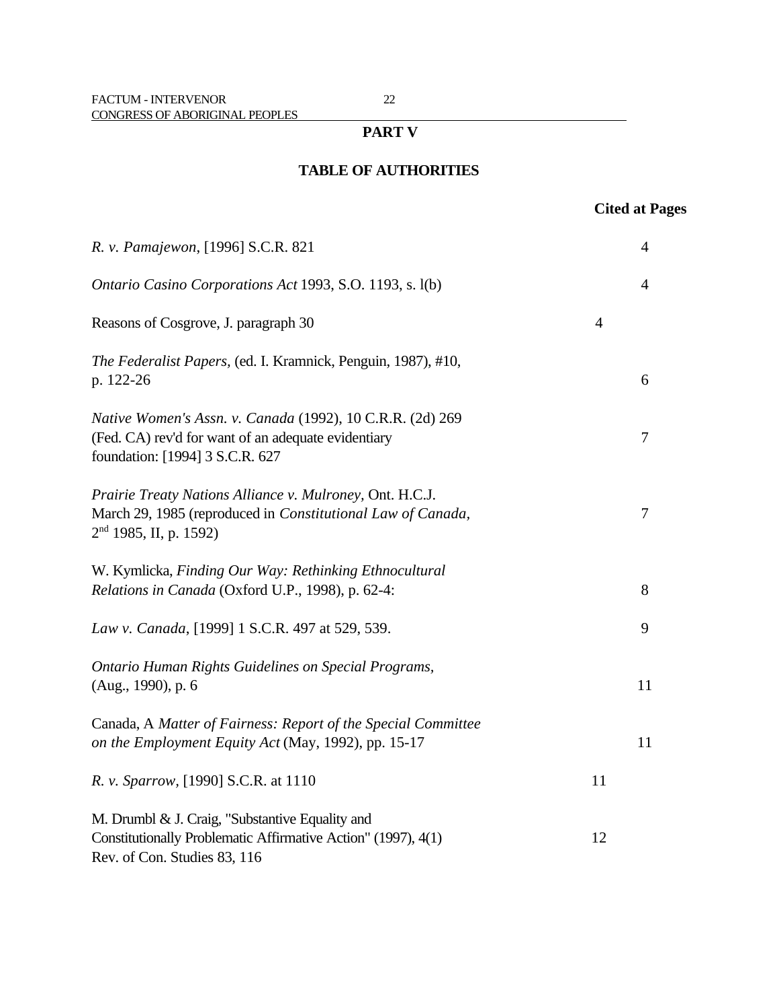### **PART V**

## **TABLE OF AUTHORITIES**

## **Cited at Pages**

| R. v. Pamajewon, [1996] S.C.R. 821                                                                                                                  |                | $\overline{4}$ |
|-----------------------------------------------------------------------------------------------------------------------------------------------------|----------------|----------------|
| Ontario Casino Corporations Act 1993, S.O. 1193, s. 1(b)                                                                                            |                | $\overline{4}$ |
| Reasons of Cosgrove, J. paragraph 30                                                                                                                | $\overline{4}$ |                |
| The Federalist Papers, (ed. I. Kramnick, Penguin, 1987), #10,<br>p. 122-26                                                                          |                | 6              |
| Native Women's Assn. v. Canada (1992), 10 C.R.R. (2d) 269<br>(Fed. CA) rev'd for want of an adequate evidentiary<br>foundation: [1994] 3 S.C.R. 627 |                | $\tau$         |
| Prairie Treaty Nations Alliance v. Mulroney, Ont. H.C.J.<br>March 29, 1985 (reproduced in Constitutional Law of Canada,<br>$2nd$ 1985, II, p. 1592) |                | $\tau$         |
| W. Kymlicka, Finding Our Way: Rethinking Ethnocultural<br>Relations in Canada (Oxford U.P., 1998), p. 62-4:                                         |                | 8              |
| Law v. Canada, [1999] 1 S.C.R. 497 at 529, 539.                                                                                                     |                | 9              |
| Ontario Human Rights Guidelines on Special Programs,<br>(Aug., 1990), p. 6                                                                          |                | 11             |
| Canada, A Matter of Fairness: Report of the Special Committee<br>on the Employment Equity Act (May, 1992), pp. 15-17                                |                | 11             |
| R. v. Sparrow, [1990] S.C.R. at 1110                                                                                                                | 11             |                |
| M. Drumbl & J. Craig, "Substantive Equality and<br>Constitutionally Problematic Affirmative Action" (1997), 4(1)<br>Rev. of Con. Studies 83, 116    | 12             |                |